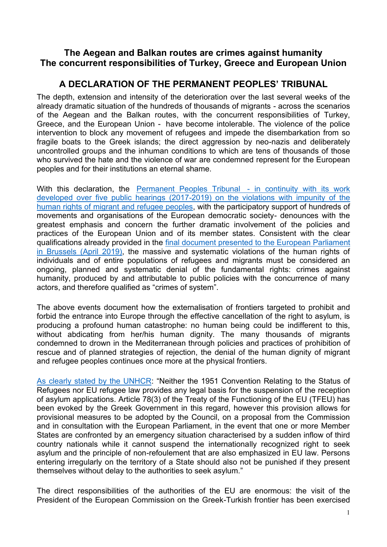## **The Aegean and Balkan routes are crimes against humanity The concurrent responsibilities of Turkey, Greece and European Union**

## **A DECLARATION OF THE PERMANENT PEOPLES' TRIBUNAL**

The depth, extension and intensity of the deterioration over the last several weeks of the already dramatic situation of the hundreds of thousands of migrants - across the scenarios of the Aegean and the Balkan routes, with the concurrent responsibilities of Turkey, Greece, and the European Union - have become intolerable. The violence of the police intervention to block any movement of refugees and impede the disembarkation from so fragile boats to the Greek islands; the direct aggression by neo-nazis and deliberately uncontrolled groups and the inhuman conditions to which are tens of thousands of those who survived the hate and the violence of war are condemned represent for the European peoples and for their institutions an eternal shame.

With this declaration, the Permanent Peoples Tribunal - in continuity with its work developed over five public hearings (2017-2019) on the violations with impunity of the human rights of migrant and refugee peoples, with the participatory support of hundreds of movements and organisations of the European democratic society- denounces with the greatest emphasis and concern the further dramatic involvement of the policies and practices of the European Union and of its member states. Consistent with the clear qualifications already provided in the final document presented to the European Parliament in Brussels (April 2019), the massive and systematic violations of the human rights of individuals and of entire populations of refugees and migrants must be considered an ongoing, planned and systematic denial of the fundamental rights: crimes against humanity, produced by and attributable to public policies with the concurrence of many actors, and therefore qualified as "crimes of system".

The above events document how the externalisation of frontiers targeted to prohibit and forbid the entrance into Europe through the effective cancellation of the right to asylum, is producing a profound human catastrophe: no human being could be indifferent to this, without abdicating from her/his human dignity. The many thousands of migrants condemned to drown in the Mediterranean through policies and practices of prohibition of rescue and of planned strategies of rejection, the denial of the human dignity of migrant and refugee peoples continues once more at the physical frontiers.

As clearly stated by the UNHCR: "Neither the 1951 Convention Relating to the Status of Refugees nor EU refugee law provides any legal basis for the suspension of the reception of asylum applications. Article 78(3) of the Treaty of the Functioning of the EU (TFEU) has been evoked by the Greek Government in this regard, however this provision allows for provisional measures to be adopted by the Council, on a proposal from the Commission and in consultation with the European Parliament, in the event that one or more Member States are confronted by an emergency situation characterised by a sudden inflow of third country nationals while it cannot suspend the internationally recognized right to seek asylum and the principle of non-refoulement that are also emphasized in EU law. Persons entering irregularly on the territory of a State should also not be punished if they present themselves without delay to the authorities to seek asylum."

The direct responsibilities of the authorities of the EU are enormous: the visit of the President of the European Commission on the Greek-Turkish frontier has been exercised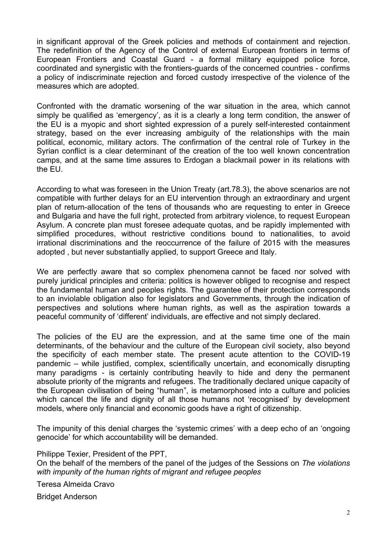in significant approval of the Greek policies and methods of containment and rejection. The redefinition of the Agency of the Control of external European frontiers in terms of European Frontiers and Coastal Guard - a formal military equipped police force, coordinated and synergistic with the frontiers-guards of the concerned countries - confirms a policy of indiscriminate rejection and forced custody irrespective of the violence of the measures which are adopted.

Confronted with the dramatic worsening of the war situation in the area, which cannot simply be qualified as 'emergency', as it is a clearly a long term condition, the answer of the EU is a myopic and short sighted expression of a purely self-interested containment strategy, based on the ever increasing ambiguity of the relationships with the main political, economic, military actors. The confirmation of the central role of Turkey in the Syrian conflict is a clear determinant of the creation of the too well known concentration camps, and at the same time assures to Erdogan a blackmail power in its relations with the EU.

According to what was foreseen in the Union Treaty (art.78.3), the above scenarios are not compatible with further delays for an EU intervention through an extraordinary and urgent plan of return-allocation of the tens of thousands who are requesting to enter in Greece and Bulgaria and have the full right, protected from arbitrary violence, to request European Asylum. A concrete plan must foresee adequate quotas, and be rapidly implemented with simplified procedures, without restrictive conditions bound to nationalities, to avoid irrational discriminations and the reoccurrence of the failure of 2015 with the measures adopted , but never substantially applied, to support Greece and Italy.

We are perfectly aware that so complex phenomena cannot be faced nor solved with purely juridical principles and criteria: politics is however obliged to recognise and respect the fundamental human and peoples rights. The guarantee of their protection corresponds to an inviolable obligation also for legislators and Governments, through the indication of perspectives and solutions where human rights, as well as the aspiration towards a peaceful community of 'different' individuals, are effective and not simply declared.

The policies of the EU are the expression, and at the same time one of the main determinants, of the behaviour and the culture of the European civil society, also beyond the specificity of each member state. The present acute attention to the COVID-19 pandemic – while justified, complex, scientifically uncertain, and economically disrupting many paradigms - is certainly contributing heavily to hide and deny the permanent absolute priority of the migrants and refugees. The traditionally declared unique capacity of the European civilisation of being "human", is metamorphosed into a culture and policies which cancel the life and dignity of all those humans not 'recognised' by development models, where only financial and economic goods have a right of citizenship.

The impunity of this denial charges the 'systemic crimes' with a deep echo of an 'ongoing genocide' for which accountability will be demanded.

Philippe Texier, President of the PPT, On the behalf of the members of the panel of the judges of the Sessions on *The violations with impunity of the human rights of migrant and refugee peoples*

Teresa Almeida Cravo

Bridget Anderson